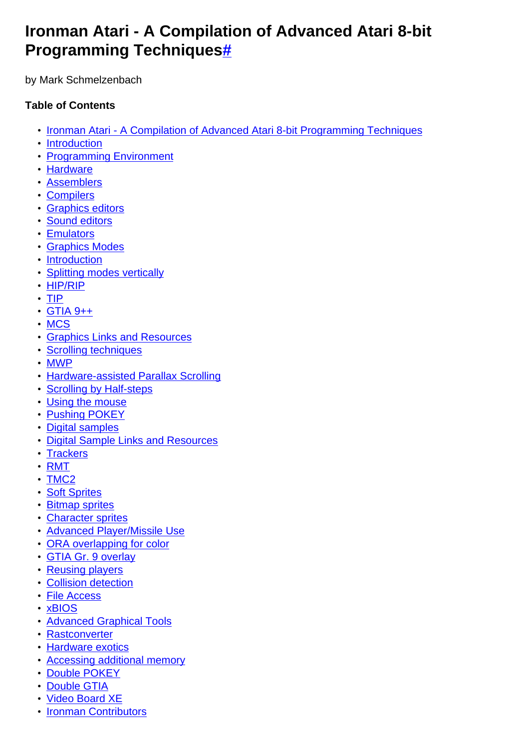# **Ironman Atari - A Compilation of Advanced Atari 8-bit Programming Technique[s#](http://[fd00::119]:8080/wiki/#section-Ironman+Atari-IronmanAtariACompilationOfAdvancedAtari8BitProgrammingTechniques)**

by Mark Schmelzenbach

# **Table of Contents**

- [Ironman Atari A Compilation of Advanced Atari 8-bit Programming Techniques](http://[fd00::119]:8080/wiki/#section-Ironman+Atari-IronmanAtariACompilationOfAdvancedAtari8BitProgrammingTechniques)
- [Introduction](http://[fd00::119]:8080/wiki/#section-Ironman+Atari-Introduction)
- [Programming Environment](http://[fd00::119]:8080/wiki/#section-Ironman+Atari-ProgrammingEnvironment)
- [Hardware](http://[fd00::119]:8080/wiki/#section-Ironman+Atari-Hardware)
- [Assemblers](http://[fd00::119]:8080/wiki/#section-Ironman+Atari-Assemblers)
- [Compilers](http://[fd00::119]:8080/wiki/#section-Ironman+Atari-Compilers)
- [Graphics editors](http://[fd00::119]:8080/wiki/#section-Ironman+Atari-GraphicsEditors)
- [Sound editors](http://[fd00::119]:8080/wiki/#section-Ironman+Atari-SoundEditors)
- [Emulators](http://[fd00::119]:8080/wiki/#section-Ironman+Atari-Emulators)
- [Graphics Modes](http://[fd00::119]:8080/wiki/#section-Ironman+Atari-GraphicsModes)
- [Introduction](http://[fd00::119]:8080/wiki/#section-Ironman+Atari-Introduction-2)
- [Splitting modes vertically](http://[fd00::119]:8080/wiki/#section-Ironman+Atari-SplittingModesVertically)
- [HIP/RIP](http://[fd00::119]:8080/wiki/#section-Ironman+Atari-HIPRIP)
- [TIP](http://[fd00::119]:8080/wiki/#section-Ironman+Atari-TIP)
- [GTIA 9++](http://[fd00::119]:8080/wiki/#section-Ironman+Atari-GTIA9)
- [MCS](http://[fd00::119]:8080/wiki/#section-Ironman+Atari-MCS)
- [Graphics Links and Resources](http://[fd00::119]:8080/wiki/#section-Ironman+Atari-GraphicsLinksAndResources)
- [Scrolling techniques](http://[fd00::119]:8080/wiki/#section-Ironman+Atari-ScrollingTechniques)
- [MWP](http://[fd00::119]:8080/wiki/#section-Ironman+Atari-MWP)
- [Hardware-assisted Parallax Scrolling](http://[fd00::119]:8080/wiki/#section-Ironman+Atari-HardwareAssistedParallaxScrolling)
- [Scrolling by Half-steps](http://[fd00::119]:8080/wiki/#section-Ironman+Atari-ScrollingByHalfSteps)
- [Using the mouse](http://[fd00::119]:8080/wiki/#section-Ironman+Atari-UsingTheMouse)
- **[Pushing POKEY](http://[fd00::119]:8080/wiki/#section-Ironman+Atari-PushingPOKEY)**
- [Digital samples](http://[fd00::119]:8080/wiki/#section-Ironman+Atari-DigitalSamples)
- [Digital Sample Links and Resources](http://[fd00::119]:8080/wiki/#section-Ironman+Atari-DigitalSampleLinksAndResources)
- [Trackers](http://[fd00::119]:8080/wiki/#section-Ironman+Atari-Trackers)
- [RMT](http://[fd00::119]:8080/wiki/#section-Ironman+Atari-RMT)
- [TMC2](http://[fd00::119]:8080/wiki/#section-Ironman+Atari-TMC2)
- [Soft Sprites](http://[fd00::119]:8080/wiki/#section-Ironman+Atari-SoftSprites)
- [Bitmap sprites](http://[fd00::119]:8080/wiki/#section-Ironman+Atari-BitmapSprites)
- [Character sprites](http://[fd00::119]:8080/wiki/#section-Ironman+Atari-CharacterSprites)
- [Advanced Player/Missile Use](http://[fd00::119]:8080/wiki/#section-Ironman+Atari-AdvancedPlayerMissileUse)
- [ORA overlapping for color](http://[fd00::119]:8080/wiki/#section-Ironman+Atari-ORAOverlappingForColor)
- [GTIA Gr. 9 overlay](http://[fd00::119]:8080/wiki/#section-Ironman+Atari-GTIAGr.9Overlay)
- [Reusing players](http://[fd00::119]:8080/wiki/#section-Ironman+Atari-ReusingPlayers)
- [Collision detection](http://[fd00::119]:8080/wiki/#section-Ironman+Atari-CollisionDetection)
- [File Access](http://[fd00::119]:8080/wiki/#section-Ironman+Atari-FileAccess)
- [xBIOS](http://[fd00::119]:8080/wiki/#section-Ironman+Atari-XBIOS)
- [Advanced Graphical Tools](http://[fd00::119]:8080/wiki/#section-Ironman+Atari-AdvancedGraphicalTools)
- [Rastconverter](http://[fd00::119]:8080/wiki/#section-Ironman+Atari-Rastconverter)
- [Hardware exotics](http://[fd00::119]:8080/wiki/#section-Ironman+Atari-HardwareExotics)
- [Accessing additional memory](http://[fd00::119]:8080/wiki/#section-Ironman+Atari-AccessingAdditionalMemory)
- [Double POKEY](http://[fd00::119]:8080/wiki/#section-Ironman+Atari-DoublePOKEY)
- [Double GTIA](http://[fd00::119]:8080/wiki/#section-Ironman+Atari-DoubleGTIA)
- [Video Board XE](http://[fd00::119]:8080/wiki/#section-Ironman+Atari-VideoBoardXE)
- [Ironman Contributors](http://[fd00::119]:8080/wiki/#section-Ironman+Atari-IronmanContributors)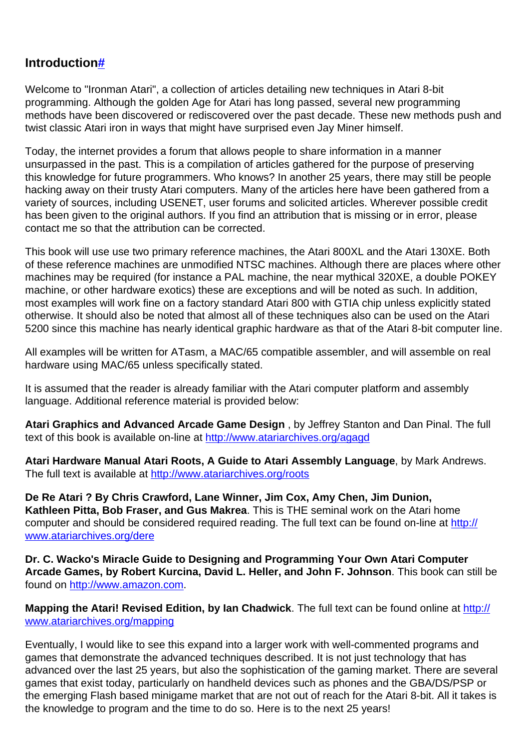# **Introductio[n#](http://[fd00::119]:8080/wiki/#section-Ironman+Atari-Introduction)**

Welcome to "Ironman Atari", a collection of articles detailing new techniques in Atari 8-bit programming. Although the golden Age for Atari has long passed, several new programming methods have been discovered or rediscovered over the past decade. These new methods push and twist classic Atari iron in ways that might have surprised even Jay Miner himself.

Today, the internet provides a forum that allows people to share information in a manner unsurpassed in the past. This is a compilation of articles gathered for the purpose of preserving this knowledge for future programmers. Who knows? In another 25 years, there may still be people hacking away on their trusty Atari computers. Many of the articles here have been gathered from a variety of sources, including USENET, user forums and solicited articles. Wherever possible credit has been given to the original authors. If you find an attribution that is missing or in error, please contact me so that the attribution can be corrected.

This book will use use two primary reference machines, the Atari 800XL and the Atari 130XE. Both of these reference machines are unmodified NTSC machines. Although there are places where other machines may be required (for instance a PAL machine, the near mythical 320XE, a double POKEY machine, or other hardware exotics) these are exceptions and will be noted as such. In addition, most examples will work fine on a factory standard Atari 800 with GTIA chip unless explicitly stated otherwise. It should also be noted that almost all of these techniques also can be used on the Atari 5200 since this machine has nearly identical graphic hardware as that of the Atari 8-bit computer line.

All examples will be written for ATasm, a MAC/65 compatible assembler, and will assemble on real hardware using MAC/65 unless specifically stated.

It is assumed that the reader is already familiar with the Atari computer platform and assembly language. Additional reference material is provided below:

**Atari Graphics and Advanced Arcade Game Design** , by Jeffrey Stanton and Dan Pinal. The full text of this book is available on-line at<http://www.atariarchives.org/agagd>

**Atari Hardware Manual Atari Roots, A Guide to Atari Assembly Language**, by Mark Andrews. The full text is available at <http://www.atariarchives.org/roots>

**De Re Atari ? By Chris Crawford, Lane Winner, Jim Cox, Amy Chen, Jim Dunion, Kathleen Pitta, Bob Fraser, and Gus Makrea**. This is THE seminal work on the Atari home computer and should be considered required reading. The full text can be found on-line at [http://](http://www.atariarchives.org/dere) [www.atariarchives.org/dere](http://www.atariarchives.org/dere)

**Dr. C. Wacko's Miracle Guide to Designing and Programming Your Own Atari Computer Arcade Games, by Robert Kurcina, David L. Heller, and John F. Johnson**. This book can still be found on<http://www.amazon.com>.

**Mapping the Atari! Revised Edition, by Ian Chadwick**. The full text can be found online at [http://](http://www.atariarchives.org/mapping) [www.atariarchives.org/mapping](http://www.atariarchives.org/mapping)

Eventually, I would like to see this expand into a larger work with well-commented programs and games that demonstrate the advanced techniques described. It is not just technology that has advanced over the last 25 years, but also the sophistication of the gaming market. There are several games that exist today, particularly on handheld devices such as phones and the GBA/DS/PSP or the emerging Flash based minigame market that are not out of reach for the Atari 8-bit. All it takes is the knowledge to program and the time to do so. Here is to the next 25 years!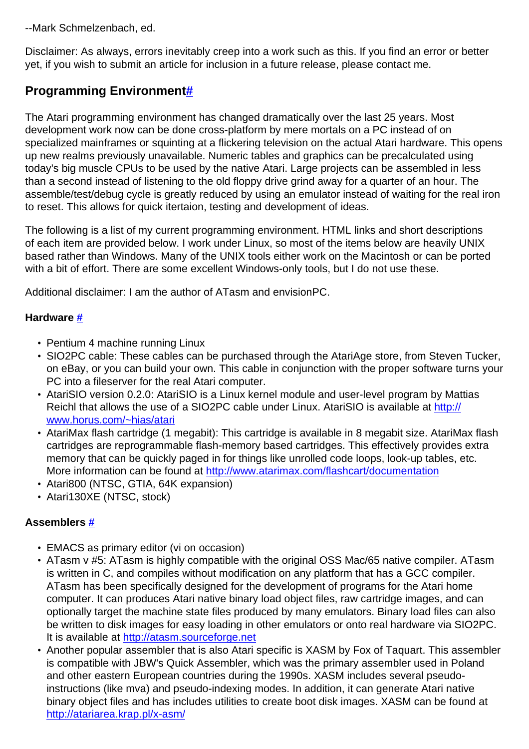--Mark Schmelzenbach, ed.

Disclaimer: As always, errors inevitably creep into a work such as this. If you find an error or better yet, if you wish to submit an article for inclusion in a future release, please contact me.

# **Programming Environmen[t#](http://[fd00::119]:8080/wiki/#section-Ironman+Atari-ProgrammingEnvironment)**

The Atari programming environment has changed dramatically over the last 25 years. Most development work now can be done cross-platform by mere mortals on a PC instead of on specialized mainframes or squinting at a flickering television on the actual Atari hardware. This opens up new realms previously unavailable. Numeric tables and graphics can be precalculated using today's big muscle CPUs to be used by the native Atari. Large projects can be assembled in less than a second instead of listening to the old floppy drive grind away for a quarter of an hour. The assemble/test/debug cycle is greatly reduced by using an emulator instead of waiting for the real iron to reset. This allows for quick itertaion, testing and development of ideas.

The following is a list of my current programming environment. HTML links and short descriptions of each item are provided below. I work under Linux, so most of the items below are heavily UNIX based rather than Windows. Many of the UNIX tools either work on the Macintosh or can be ported with a bit of effort. There are some excellent Windows-only tools, but I do not use these.

Additional disclaimer: I am the author of ATasm and envisionPC.

# **Hardware [#](http://[fd00::119]:8080/wiki/#section-Ironman+Atari-Hardware)**

- Pentium 4 machine running Linux
- SIO2PC cable: These cables can be purchased through the AtariAge store, from Steven Tucker, on eBay, or you can build your own. This cable in conjunction with the proper software turns your PC into a fileserver for the real Atari computer.
- AtariSIO version 0.2.0: AtariSIO is a Linux kernel module and user-level program by Mattias Reichl that allows the use of a SIO2PC cable under Linux. AtariSIO is available at [http://](http://www.horus.com/~hias/atari) [www.horus.com/~hias/atari](http://www.horus.com/~hias/atari)
- AtariMax flash cartridge (1 megabit): This cartridge is available in 8 megabit size. AtariMax flash cartridges are reprogrammable flash-memory based cartridges. This effectively provides extra memory that can be quickly paged in for things like unrolled code loops, look-up tables, etc. More information can be found at <http://www.atarimax.com/flashcart/documentation>
- Atari800 (NTSC, GTIA, 64K expansion)
- Atari130XE (NTSC, stock)

# **Assemblers [#](http://[fd00::119]:8080/wiki/#section-Ironman+Atari-Assemblers)**

- EMACS as primary editor (vi on occasion)
- ATasm v #5: ATasm is highly compatible with the original OSS Mac/65 native compiler. ATasm is written in C, and compiles without modification on any platform that has a GCC compiler. ATasm has been specifically designed for the development of programs for the Atari home computer. It can produces Atari native binary load object files, raw cartridge images, and can optionally target the machine state files produced by many emulators. Binary load files can also be written to disk images for easy loading in other emulators or onto real hardware via SIO2PC. It is available at<http://atasm.sourceforge.net>
- Another popular assembler that is also Atari specific is XASM by Fox of Taquart. This assembler is compatible with JBW's Quick Assembler, which was the primary assembler used in Poland and other eastern European countries during the 1990s. XASM includes several pseudoinstructions (like mva) and pseudo-indexing modes. In addition, it can generate Atari native binary object files and has includes utilities to create boot disk images. XASM can be found at <http://atariarea.krap.pl/x-asm/>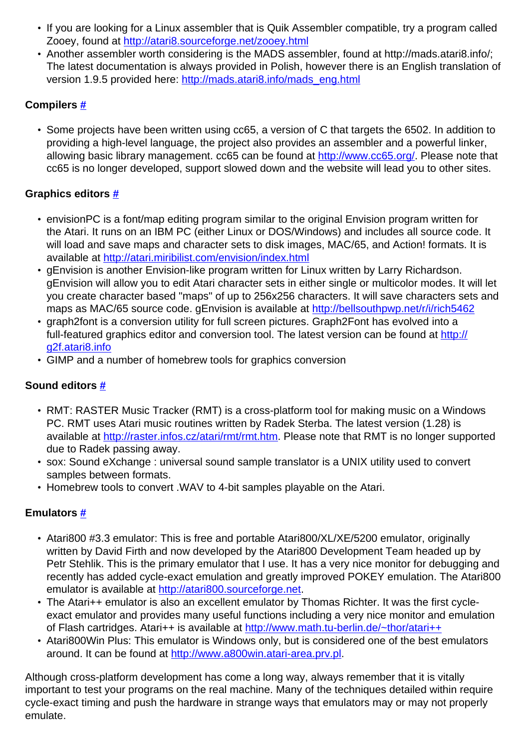- If you are looking for a Linux assembler that is Quik Assembler compatible, try a program called Zooey, found at<http://atari8.sourceforge.net/zooey.html>
- Another assembler worth considering is the MADS assembler, found at http://mads.atari8.info/; The latest documentation is always provided in Polish, however there is an English translation of version 1.9.5 provided here: [http://mads.atari8.info/mads\\_eng.html](http://mads.atari8.info/mads_eng.html)

## **Compilers [#](http://[fd00::119]:8080/wiki/#section-Ironman+Atari-Compilers)**

• Some projects have been written using cc65, a version of C that targets the 6502. In addition to providing a high-level language, the project also provides an assembler and a powerful linker, allowing basic library management. cc65 can be found at [http://www.cc65.org/.](http://www.cc65.org/) Please note that cc65 is no longer developed, support slowed down and the website will lead you to other sites.

### **Graphics editors [#](http://[fd00::119]:8080/wiki/#section-Ironman+Atari-GraphicsEditors)**

- envisionPC is a font/map editing program similar to the original Envision program written for the Atari. It runs on an IBM PC (either Linux or DOS/Windows) and includes all source code. It will load and save maps and character sets to disk images, MAC/65, and Action! formats. It is available at<http://atari.miribilist.com/envision/index.html>
- gEnvision is another Envision-like program written for Linux written by Larry Richardson. gEnvision will allow you to edit Atari character sets in either single or multicolor modes. It will let you create character based "maps" of up to 256x256 characters. It will save characters sets and maps as MAC/65 source code, gEnvision is available at<http://bellsouthpwp.net/r/i/rich5462>
- graph2font is a conversion utility for full screen pictures. Graph2Font has evolved into a full-featured graphics editor and conversion tool. The latest version can be found at [http://](http://g2f.atari8.info) [g2f.atari8.info](http://g2f.atari8.info)
- GIMP and a number of homebrew tools for graphics conversion

# **Sound editors [#](http://[fd00::119]:8080/wiki/#section-Ironman+Atari-SoundEditors)**

- RMT: RASTER Music Tracker (RMT) is a cross-platform tool for making music on a Windows PC. RMT uses Atari music routines written by Radek Sterba. The latest version (1.28) is available at<http://raster.infos.cz/atari/rmt/rmt.htm>. Please note that RMT is no longer supported due to Radek passing away.
- sox: Sound eXchange : universal sound sample translator is a UNIX utility used to convert samples between formats.
- Homebrew tools to convert .WAV to 4-bit samples playable on the Atari.

# **Emulators [#](http://[fd00::119]:8080/wiki/#section-Ironman+Atari-Emulators)**

- Atari800 #3.3 emulator: This is free and portable Atari800/XL/XE/5200 emulator, originally written by David Firth and now developed by the Atari800 Development Team headed up by Petr Stehlik. This is the primary emulator that I use. It has a very nice monitor for debugging and recently has added cycle-exact emulation and greatly improved POKEY emulation. The Atari800 emulator is available at<http://atari800.sourceforge.net>.
- The Atari++ emulator is also an excellent emulator by Thomas Richter. It was the first cycleexact emulator and provides many useful functions including a very nice monitor and emulation of Flash cartridges. Atari++ is available at <http://www.math.tu-berlin.de/~thor/atari++>
- Atari800Win Plus: This emulator is Windows only, but is considered one of the best emulators around. It can be found at [http://www.a800win.atari-area.prv.pl.](http://www.a800win.atari-area.prv.pl)

Although cross-platform development has come a long way, always remember that it is vitally important to test your programs on the real machine. Many of the techniques detailed within require cycle-exact timing and push the hardware in strange ways that emulators may or may not properly emulate.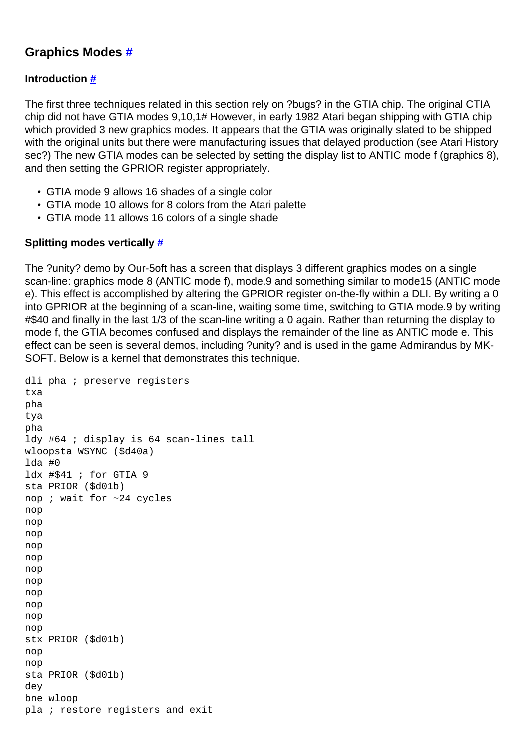# **Graphics Modes [#](http://[fd00::119]:8080/wiki/#section-Ironman+Atari-GraphicsModes)**

### **Introduction [#](http://[fd00::119]:8080/wiki/#section-Ironman+Atari-Introduction-2)**

The first three techniques related in this section rely on ?bugs? in the GTIA chip. The original CTIA chip did not have GTIA modes 9,10,1# However, in early 1982 Atari began shipping with GTIA chip which provided 3 new graphics modes. It appears that the GTIA was originally slated to be shipped with the original units but there were manufacturing issues that delayed production (see Atari History sec?) The new GTIA modes can be selected by setting the display list to ANTIC mode f (graphics 8), and then setting the GPRIOR register appropriately.

- GTIA mode 9 allows 16 shades of a single color
- GTIA mode 10 allows for 8 colors from the Atari palette
- GTIA mode 11 allows 16 colors of a single shade

### **Splitting modes vertically [#](http://[fd00::119]:8080/wiki/#section-Ironman+Atari-SplittingModesVertically)**

The ?unity? demo by Our-5oft has a screen that displays 3 different graphics modes on a single scan-line: graphics mode 8 (ANTIC mode f), mode.9 and something similar to mode15 (ANTIC mode e). This effect is accomplished by altering the GPRIOR register on-the-fly within a DLI. By writing a 0 into GPRIOR at the beginning of a scan-line, waiting some time, switching to GTIA mode.9 by writing #\$40 and finally in the last 1/3 of the scan-line writing a 0 again. Rather than returning the display to mode f, the GTIA becomes confused and displays the remainder of the line as ANTIC mode e. This effect can be seen is several demos, including ?unity? and is used in the game Admirandus by MK-SOFT. Below is a kernel that demonstrates this technique.

```
dli pha ; preserve registers 
txa 
pha 
tya 
pha 
ldy #64 ; display is 64 scan-lines tall 
wloopsta WSYNC ($d40a) 
lda #0 
ldx #$41 ; for GTIA 9 
sta PRIOR ($d01b) 
nop ; wait for ~24 cycles 
nop 
nop 
nop 
nop 
nop 
nop 
nop 
nop 
nop 
nop 
nop 
stx PRIOR ($d01b) 
nop 
nop 
sta PRIOR ($d01b) 
dey 
bne wloop 
pla ; restore registers and exit
```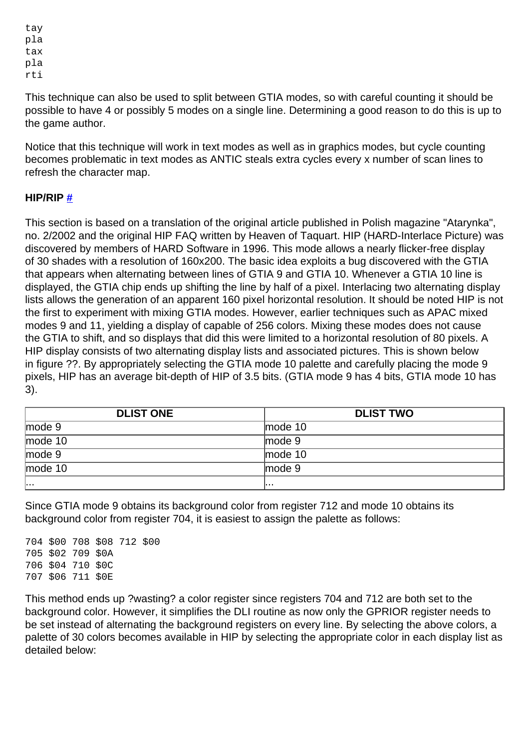tay pla tax pla rti

This technique can also be used to split between GTIA modes, so with careful counting it should be possible to have 4 or possibly 5 modes on a single line. Determining a good reason to do this is up to the game author.

Notice that this technique will work in text modes as well as in graphics modes, but cycle counting becomes problematic in text modes as ANTIC steals extra cycles every x number of scan lines to refresh the character map.

### **HIP/RIP [#](http://[fd00::119]:8080/wiki/#section-Ironman+Atari-HIPRIP)**

This section is based on a translation of the original article published in Polish magazine "Atarynka", no. 2/2002 and the original HIP FAQ written by Heaven of Taquart. HIP (HARD-Interlace Picture) was discovered by members of HARD Software in 1996. This mode allows a nearly flicker-free display of 30 shades with a resolution of 160x200. The basic idea exploits a bug discovered with the GTIA that appears when alternating between lines of GTIA 9 and GTIA 10. Whenever a GTIA 10 line is displayed, the GTIA chip ends up shifting the line by half of a pixel. Interlacing two alternating display lists allows the generation of an apparent 160 pixel horizontal resolution. It should be noted HIP is not the first to experiment with mixing GTIA modes. However, earlier techniques such as APAC mixed modes 9 and 11, yielding a display of capable of 256 colors. Mixing these modes does not cause the GTIA to shift, and so displays that did this were limited to a horizontal resolution of 80 pixels. A HIP display consists of two alternating display lists and associated pictures. This is shown below in figure ??. By appropriately selecting the GTIA mode 10 palette and carefully placing the mode 9 pixels, HIP has an average bit-depth of HIP of 3.5 bits. (GTIA mode 9 has 4 bits, GTIA mode 10 has 3).

| <b>DLIST ONE</b>  | <b>DLIST TWO</b>   |  |
|-------------------|--------------------|--|
| mode <sub>9</sub> | mode <sub>10</sub> |  |
| mode 10           | mode <sub>9</sub>  |  |
| mode <sub>9</sub> | mode $10$          |  |
| mode 10           | mode <sub>9</sub>  |  |
| 1.                | .                  |  |

Since GTIA mode 9 obtains its background color from register 712 and mode 10 obtains its background color from register 704, it is easiest to assign the palette as follows:

|  | 705 \$02 709 \$0A<br>706 \$04 710 \$0C<br>707 \$06 711 \$0E | 704 \$00 708 \$08 712 \$00 |
|--|-------------------------------------------------------------|----------------------------|

This method ends up ?wasting? a color register since registers 704 and 712 are both set to the background color. However, it simplifies the DLI routine as now only the GPRIOR register needs to be set instead of alternating the background registers on every line. By selecting the above colors, a palette of 30 colors becomes available in HIP by selecting the appropriate color in each display list as detailed below: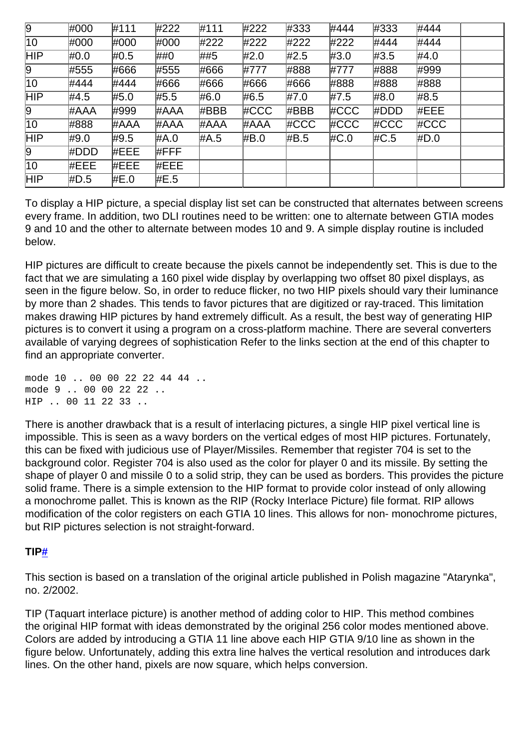| 9   | #000 | #111 | #222 | #111 | #222 | #333 | #444 | #333    | #444 |  |
|-----|------|------|------|------|------|------|------|---------|------|--|
| 10  | #000 | #000 | #000 | #222 | #222 | #222 | #222 | #444    | #444 |  |
| HIP | #0.0 | #0.5 | ##0  | ##5  | #2.0 | #2.5 | #3.0 | #3.5    | #4.0 |  |
| 9   | #555 | #666 | #555 | #666 | #777 | #888 | #777 | #888    | #999 |  |
| 10  | #444 | #444 | #666 | #666 | #666 | #666 | #888 | #888    | #888 |  |
| HIP | #4.5 | #5.0 | #5.5 | #6.0 | #6.5 | #7.0 | #7.5 | #8.0    | #8.5 |  |
| 9   | #AAA | #999 | #AAA | #BBB | #CCC | #BBB | #CCC | #DDD    | #EEE |  |
| 10  | #888 | #AAA | #AAA | #AAA | #AAA | #CCC | #CCC | $\#CCC$ | #CCC |  |
| HIP | #9.0 | #9.5 | #A.0 | #A.5 | #B.0 | #B.5 | #C.0 | #C.5    | #D.0 |  |
| 9   | #DDD | #EEE | #FFF |      |      |      |      |         |      |  |
| 10  | #EEE | #EEE | #EEE |      |      |      |      |         |      |  |
| HIP | #D.5 | #E.0 | #E.5 |      |      |      |      |         |      |  |

To display a HIP picture, a special display list set can be constructed that alternates between screens every frame. In addition, two DLI routines need to be written: one to alternate between GTIA modes 9 and 10 and the other to alternate between modes 10 and 9. A simple display routine is included below.

HIP pictures are difficult to create because the pixels cannot be independently set. This is due to the fact that we are simulating a 160 pixel wide display by overlapping two offset 80 pixel displays, as seen in the figure below. So, in order to reduce flicker, no two HIP pixels should vary their luminance by more than 2 shades. This tends to favor pictures that are digitized or ray-traced. This limitation makes drawing HIP pictures by hand extremely difficult. As a result, the best way of generating HIP pictures is to convert it using a program on a cross-platform machine. There are several converters available of varying degrees of sophistication Refer to the links section at the end of this chapter to find an appropriate converter.

mode 10 .. 00 00 22 22 44 44 .. mode 9 .. 00 00 22 22 .. HIP .. 00 11 22 33 ..

There is another drawback that is a result of interlacing pictures, a single HIP pixel vertical line is impossible. This is seen as a wavy borders on the vertical edges of most HIP pictures. Fortunately, this can be fixed with judicious use of Player/Missiles. Remember that register 704 is set to the background color. Register 704 is also used as the color for player 0 and its missile. By setting the shape of player 0 and missile 0 to a solid strip, they can be used as borders. This provides the picture solid frame. There is a simple extension to the HIP format to provide color instead of only allowing a monochrome pallet. This is known as the RIP (Rocky Interlace Picture) file format. RIP allows modification of the color registers on each GTIA 10 lines. This allows for non- monochrome pictures, but RIP pictures selection is not straight-forward.

### **TI[P#](http://[fd00::119]:8080/wiki/#section-Ironman+Atari-TIP)**

This section is based on a translation of the original article published in Polish magazine "Atarynka", no. 2/2002.

TIP (Taquart interlace picture) is another method of adding color to HIP. This method combines the original HIP format with ideas demonstrated by the original 256 color modes mentioned above. Colors are added by introducing a GTIA 11 line above each HIP GTIA 9/10 line as shown in the figure below. Unfortunately, adding this extra line halves the vertical resolution and introduces dark lines. On the other hand, pixels are now square, which helps conversion.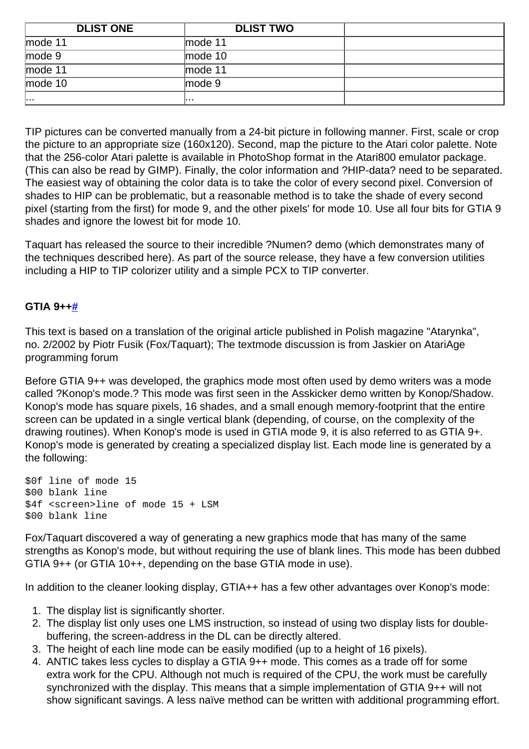| <b>DLIST ONE</b>  | <b>DLIST TWO</b>  |  |
|-------------------|-------------------|--|
| mode 11           | mode $11$         |  |
| mode <sub>9</sub> | mode $10$         |  |
| mode 11           | mode 11           |  |
| mode 10           | mode <sub>9</sub> |  |
| 19. O. A.         | .                 |  |

TIP pictures can be converted manually from a 24-bit picture in following manner. First, scale or crop the picture to an appropriate size (160x120). Second, map the picture to the Atari color palette. Note that the 256-color Atari palette is available in PhotoShop format in the Atari800 emulator package. (This can also be read by GIMP). Finally, the color information and ?HIP-data? need to be separated. The easiest way of obtaining the color data is to take the color of every second pixel. Conversion of shades to HIP can be problematic, but a reasonable method is to take the shade of every second pixel (starting from the first) for mode 9, and the other pixels' for mode 10. Use all four bits for GTIA 9 shades and ignore the lowest bit for mode 10.

Taquart has released the source to their incredible ?Numen? demo (which demonstrates many of the techniques described here). As part of the source release, they have a few conversion utilities including a HIP to TIP colorizer utility and a simple PCX to TIP converter.

### **GTIA 9+[+#](http://[fd00::119]:8080/wiki/#section-Ironman+Atari-GTIA9)**

This text is based on a translation of the original article published in Polish magazine "Atarynka", no. 2/2002 by Piotr Fusik (Fox/Taquart); The textmode discussion is from Jaskier on AtariAge programming forum

Before GTIA 9++ was developed, the graphics mode most often used by demo writers was a mode called ?Konop's mode.? This mode was first seen in the Asskicker demo written by Konop/Shadow. Konop's mode has square pixels, 16 shades, and a small enough memory-footprint that the entire screen can be updated in a single vertical blank (depending, of course, on the complexity of the drawing routines). When Konop's mode is used in GTIA mode 9, it is also referred to as GTIA 9+. Konop's mode is generated by creating a specialized display list. Each mode line is generated by a the following:

\$0f line of mode 15 \$00 blank line \$4f <screen>line of mode 15 + LSM \$00 blank line

Fox/Taquart discovered a way of generating a new graphics mode that has many of the same strengths as Konop's mode, but without requiring the use of blank lines. This mode has been dubbed GTIA 9++ (or GTIA 10++, depending on the base GTIA mode in use).

In addition to the cleaner looking display, GTIA++ has a few other advantages over Konop's mode:

- 1. The display list is significantly shorter.
- 2. The display list only uses one LMS instruction, so instead of using two display lists for doublebuffering, the screen-address in the DL can be directly altered.
- 3. The height of each line mode can be easily modified (up to a height of 16 pixels).
- 4. ANTIC takes less cycles to display a GTIA 9++ mode. This comes as a trade off for some extra work for the CPU. Although not much is required of the CPU, the work must be carefully synchronized with the display. This means that a simple implementation of GTIA 9++ will not show significant savings. A less naïve method can be written with additional programming effort.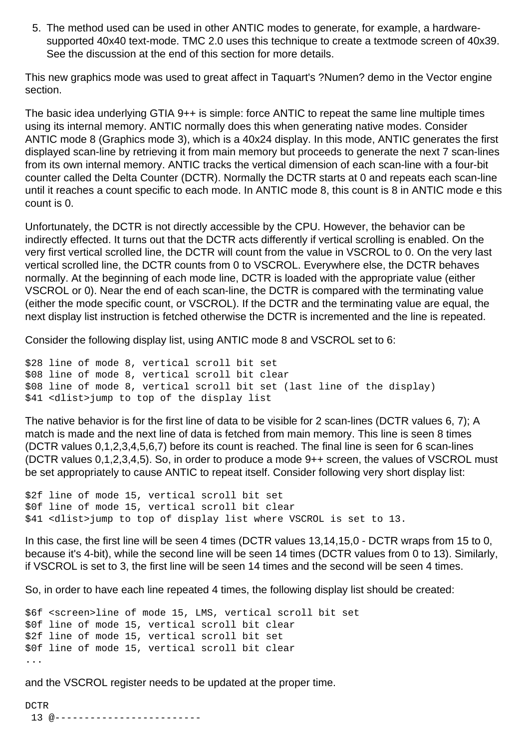5. The method used can be used in other ANTIC modes to generate, for example, a hardwaresupported 40x40 text-mode. TMC 2.0 uses this technique to create a textmode screen of 40x39. See the discussion at the end of this section for more details.

This new graphics mode was used to great affect in Taquart's ?Numen? demo in the Vector engine section.

The basic idea underlying GTIA 9++ is simple: force ANTIC to repeat the same line multiple times using its internal memory. ANTIC normally does this when generating native modes. Consider ANTIC mode 8 (Graphics mode 3), which is a 40x24 display. In this mode, ANTIC generates the first displayed scan-line by retrieving it from main memory but proceeds to generate the next 7 scan-lines from its own internal memory. ANTIC tracks the vertical dimension of each scan-line with a four-bit counter called the Delta Counter (DCTR). Normally the DCTR starts at 0 and repeats each scan-line until it reaches a count specific to each mode. In ANTIC mode 8, this count is 8 in ANTIC mode e this count is 0.

Unfortunately, the DCTR is not directly accessible by the CPU. However, the behavior can be indirectly effected. It turns out that the DCTR acts differently if vertical scrolling is enabled. On the very first vertical scrolled line, the DCTR will count from the value in VSCROL to 0. On the very last vertical scrolled line, the DCTR counts from 0 to VSCROL. Everywhere else, the DCTR behaves normally. At the beginning of each mode line, DCTR is loaded with the appropriate value (either VSCROL or 0). Near the end of each scan-line, the DCTR is compared with the terminating value (either the mode specific count, or VSCROL). If the DCTR and the terminating value are equal, the next display list instruction is fetched otherwise the DCTR is incremented and the line is repeated.

Consider the following display list, using ANTIC mode 8 and VSCROL set to 6:

```
$28 line of mode 8, vertical scroll bit set 
$08 line of mode 8, vertical scroll bit clear 
$08 line of mode 8, vertical scroll bit set (last line of the display) 
$41 <dlist>jump to top of the display list
```
The native behavior is for the first line of data to be visible for 2 scan-lines (DCTR values 6, 7); A match is made and the next line of data is fetched from main memory. This line is seen 8 times (DCTR values 0,1,2,3,4,5,6,7) before its count is reached. The final line is seen for 6 scan-lines (DCTR values 0,1,2,3,4,5). So, in order to produce a mode 9++ screen, the values of VSCROL must be set appropriately to cause ANTIC to repeat itself. Consider following very short display list:

```
$2f line of mode 15, vertical scroll bit set 
$0f line of mode 15, vertical scroll bit clear 
$41 <dlist>jump to top of display list where VSCROL is set to 13.
```
In this case, the first line will be seen 4 times (DCTR values 13,14,15,0 - DCTR wraps from 15 to 0, because it's 4-bit), while the second line will be seen 14 times (DCTR values from 0 to 13). Similarly, if VSCROL is set to 3, the first line will be seen 14 times and the second will be seen 4 times.

So, in order to have each line repeated 4 times, the following display list should be created:

```
$6f <screen>line of mode 15, LMS, vertical scroll bit set 
$0f line of mode 15, vertical scroll bit clear 
$2f line of mode 15, vertical scroll bit set 
$0f line of mode 15, vertical scroll bit clear 
...
```
and the VSCROL register needs to be updated at the proper time.

DCTR 13 @-------------------------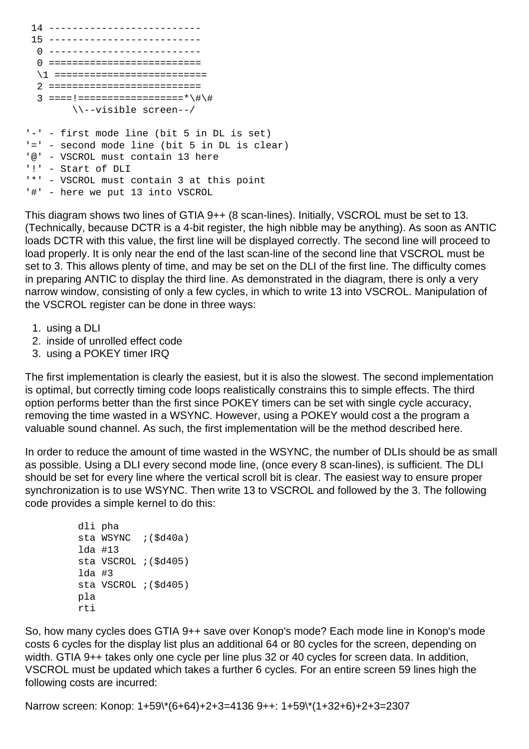```
 14 -------------------------- 
 15 -------------------------- 
  0 -------------------------- 
  0 ========================== 
  \1 ========================== 
  2 ========================== 
  3 ====!==================*\#\# 
         \\--visible screen--/ 
'-' - first mode line (bit 5 in DL is set) 
'=' - second mode line (bit 5 in DL is clear) 
'@' - VSCROL must contain 13 here 
'!' - Start of DLI 
'*' - VSCROL must contain 3 at this point 
'#' - here we put 13 into VSCROL
```
This diagram shows two lines of GTIA 9++ (8 scan-lines). Initially, VSCROL must be set to 13. (Technically, because DCTR is a 4-bit register, the high nibble may be anything). As soon as ANTIC loads DCTR with this value, the first line will be displayed correctly. The second line will proceed to load properly. It is only near the end of the last scan-line of the second line that VSCROL must be set to 3. This allows plenty of time, and may be set on the DLI of the first line. The difficulty comes in preparing ANTIC to display the third line. As demonstrated in the diagram, there is only a very narrow window, consisting of only a few cycles, in which to write 13 into VSCROL. Manipulation of the VSCROL register can be done in three ways:

- 1. using a DLI
- 2. inside of unrolled effect code
- 3. using a POKEY timer IRQ

The first implementation is clearly the easiest, but it is also the slowest. The second implementation is optimal, but correctly timing code loops realistically constrains this to simple effects. The third option performs better than the first since POKEY timers can be set with single cycle accuracy, removing the time wasted in a WSYNC. However, using a POKEY would cost a the program a valuable sound channel. As such, the first implementation will be the method described here.

In order to reduce the amount of time wasted in the WSYNC, the number of DLIs should be as small as possible. Using a DLI every second mode line, (once every 8 scan-lines), is sufficient. The DLI should be set for every line where the vertical scroll bit is clear. The easiest way to ensure proper synchronization is to use WSYNC. Then write 13 to VSCROL and followed by the 3. The following code provides a simple kernel to do this:

```
 dli pha 
sta WSYNC ;($d40a)
 lda #13 
 sta VSCROL ;($d405) 
 lda #3
 sta VSCROL ;($d405) 
 pla 
 rti
```
So, how many cycles does GTIA 9++ save over Konop's mode? Each mode line in Konop's mode costs 6 cycles for the display list plus an additional 64 or 80 cycles for the screen, depending on width. GTIA 9++ takes only one cycle per line plus 32 or 40 cycles for screen data. In addition, VSCROL must be updated which takes a further 6 cycles. For an entire screen 59 lines high the following costs are incurred:

Narrow screen: Konop: 1+59\\*(6+64)+2+3=4136 9++: 1+59\\*(1+32+6)+2+3=2307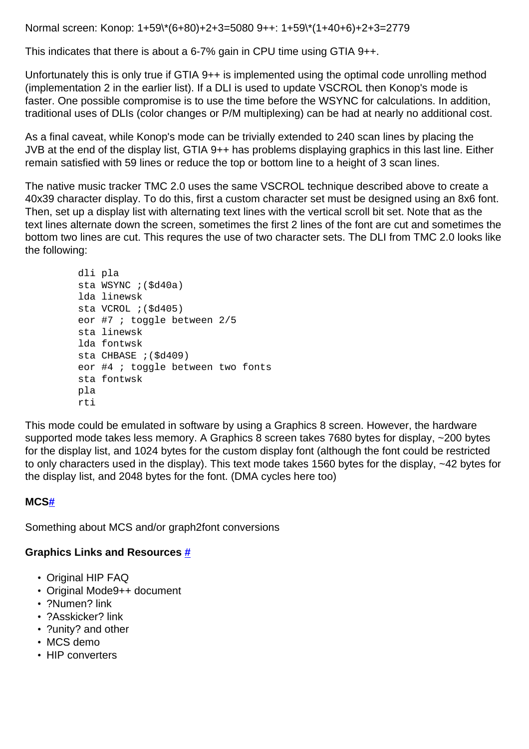Normal screen: Konop: 1+59\\*(6+80)+2+3=5080 9++: 1+59\\*(1+40+6)+2+3=2779

This indicates that there is about a 6-7% gain in CPU time using GTIA 9++.

Unfortunately this is only true if GTIA 9++ is implemented using the optimal code unrolling method (implementation 2 in the earlier list). If a DLI is used to update VSCROL then Konop's mode is faster. One possible compromise is to use the time before the WSYNC for calculations. In addition, traditional uses of DLIs (color changes or P/M multiplexing) can be had at nearly no additional cost.

As a final caveat, while Konop's mode can be trivially extended to 240 scan lines by placing the JVB at the end of the display list, GTIA 9++ has problems displaying graphics in this last line. Either remain satisfied with 59 lines or reduce the top or bottom line to a height of 3 scan lines.

The native music tracker TMC 2.0 uses the same VSCROL technique described above to create a 40x39 character display. To do this, first a custom character set must be designed using an 8x6 font. Then, set up a display list with alternating text lines with the vertical scroll bit set. Note that as the text lines alternate down the screen, sometimes the first 2 lines of the font are cut and sometimes the bottom two lines are cut. This requres the use of two character sets. The DLI from TMC 2.0 looks like the following:

```
 dli pla 
 sta WSYNC ;($d40a) 
 lda linewsk 
 sta VCROL ;($d405) 
 eor #7 ; toggle between 2/5 
 sta linewsk 
 lda fontwsk 
 sta CHBASE ;($d409) 
 eor #4 ; toggle between two fonts 
 sta fontwsk 
 pla 
 rti
```
This mode could be emulated in software by using a Graphics 8 screen. However, the hardware supported mode takes less memory. A Graphics 8 screen takes 7680 bytes for display, ~200 bytes for the display list, and 1024 bytes for the custom display font (although the font could be restricted to only characters used in the display). This text mode takes 1560 bytes for the display, ~42 bytes for the display list, and 2048 bytes for the font. (DMA cycles here too)

### **MC[S#](http://[fd00::119]:8080/wiki/#section-Ironman+Atari-MCS)**

Something about MCS and/or graph2font conversions

# **Graphics Links and Resources [#](http://[fd00::119]:8080/wiki/#section-Ironman+Atari-GraphicsLinksAndResources)**

- Original HIP FAQ
- Original Mode9++ document
- ?Numen? link
- ?Asskicker? link
- ?unity? and other
- MCS demo
- HIP converters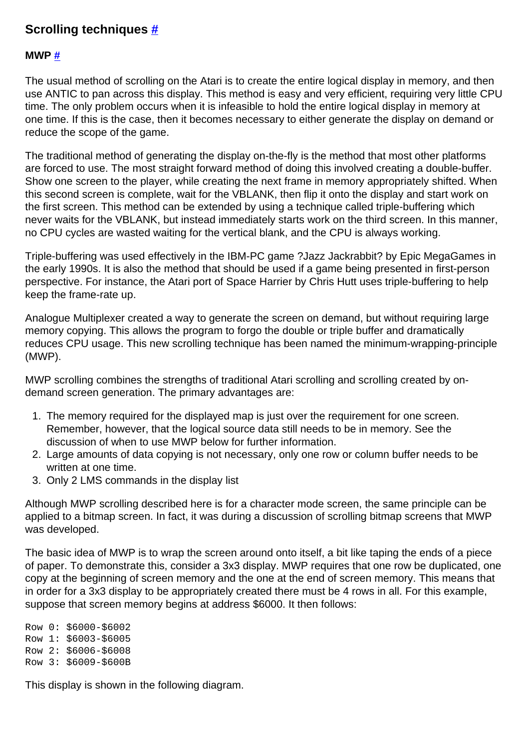# **Scrolling techniques [#](http://[fd00::119]:8080/wiki/#section-Ironman+Atari-ScrollingTechniques)**

### **MWP [#](http://[fd00::119]:8080/wiki/#section-Ironman+Atari-MWP)**

The usual method of scrolling on the Atari is to create the entire logical display in memory, and then use ANTIC to pan across this display. This method is easy and very efficient, requiring very little CPU time. The only problem occurs when it is infeasible to hold the entire logical display in memory at one time. If this is the case, then it becomes necessary to either generate the display on demand or reduce the scope of the game.

The traditional method of generating the display on-the-fly is the method that most other platforms are forced to use. The most straight forward method of doing this involved creating a double-buffer. Show one screen to the player, while creating the next frame in memory appropriately shifted. When this second screen is complete, wait for the VBLANK, then flip it onto the display and start work on the first screen. This method can be extended by using a technique called triple-buffering which never waits for the VBLANK, but instead immediately starts work on the third screen. In this manner, no CPU cycles are wasted waiting for the vertical blank, and the CPU is always working.

Triple-buffering was used effectively in the IBM-PC game ?Jazz Jackrabbit? by Epic MegaGames in the early 1990s. It is also the method that should be used if a game being presented in first-person perspective. For instance, the Atari port of Space Harrier by Chris Hutt uses triple-buffering to help keep the frame-rate up.

Analogue Multiplexer created a way to generate the screen on demand, but without requiring large memory copying. This allows the program to forgo the double or triple buffer and dramatically reduces CPU usage. This new scrolling technique has been named the minimum-wrapping-principle (MWP).

MWP scrolling combines the strengths of traditional Atari scrolling and scrolling created by ondemand screen generation. The primary advantages are:

- 1. The memory required for the displayed map is just over the requirement for one screen. Remember, however, that the logical source data still needs to be in memory. See the discussion of when to use MWP below for further information.
- 2. Large amounts of data copying is not necessary, only one row or column buffer needs to be written at one time.
- 3. Only 2 LMS commands in the display list

Although MWP scrolling described here is for a character mode screen, the same principle can be applied to a bitmap screen. In fact, it was during a discussion of scrolling bitmap screens that MWP was developed.

The basic idea of MWP is to wrap the screen around onto itself, a bit like taping the ends of a piece of paper. To demonstrate this, consider a 3x3 display. MWP requires that one row be duplicated, one copy at the beginning of screen memory and the one at the end of screen memory. This means that in order for a 3x3 display to be appropriately created there must be 4 rows in all. For this example, suppose that screen memory begins at address \$6000. It then follows:

Row 0: \$6000-\$6002 Row 1: \$6003-\$6005 Row 2: \$6006-\$6008 Row 3: \$6009-\$600B

This display is shown in the following diagram.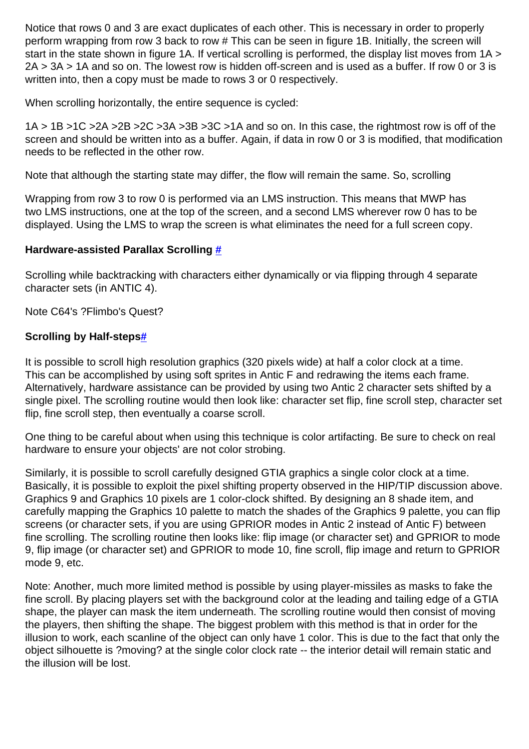Notice that rows 0 and 3 are exact duplicates of each other. This is necessary in order to properly perform wrapping from row 3 back to row # This can be seen in figure 1B. Initially, the screen will start in the state shown in figure 1A. If vertical scrolling is performed, the display list moves from 1A > 2A > 3A > 1A and so on. The lowest row is hidden off-screen and is used as a buffer. If row 0 or 3 is written into, then a copy must be made to rows 3 or 0 respectively.

When scrolling horizontally, the entire sequence is cycled:

1A > 1B >1C >2A >2B >2C >3A >3B >3C >1A and so on. In this case, the rightmost row is off of the screen and should be written into as a buffer. Again, if data in row 0 or 3 is modified, that modification needs to be reflected in the other row.

Note that although the starting state may differ, the flow will remain the same. So, scrolling

Wrapping from row 3 to row 0 is performed via an LMS instruction. This means that MWP has two LMS instructions, one at the top of the screen, and a second LMS wherever row 0 has to be displayed. Using the LMS to wrap the screen is what eliminates the need for a full screen copy.

### **Hardware-assisted Parallax Scrolling [#](http://[fd00::119]:8080/wiki/#section-Ironman+Atari-HardwareAssistedParallaxScrolling)**

Scrolling while backtracking with characters either dynamically or via flipping through 4 separate character sets (in ANTIC 4).

Note C64's ?Flimbo's Quest?

### **Scrolling by Half-step[s#](http://[fd00::119]:8080/wiki/#section-Ironman+Atari-ScrollingByHalfSteps)**

It is possible to scroll high resolution graphics (320 pixels wide) at half a color clock at a time. This can be accomplished by using soft sprites in Antic F and redrawing the items each frame. Alternatively, hardware assistance can be provided by using two Antic 2 character sets shifted by a single pixel. The scrolling routine would then look like: character set flip, fine scroll step, character set flip, fine scroll step, then eventually a coarse scroll.

One thing to be careful about when using this technique is color artifacting. Be sure to check on real hardware to ensure your objects' are not color strobing.

Similarly, it is possible to scroll carefully designed GTIA graphics a single color clock at a time. Basically, it is possible to exploit the pixel shifting property observed in the HIP/TIP discussion above. Graphics 9 and Graphics 10 pixels are 1 color-clock shifted. By designing an 8 shade item, and carefully mapping the Graphics 10 palette to match the shades of the Graphics 9 palette, you can flip screens (or character sets, if you are using GPRIOR modes in Antic 2 instead of Antic F) between fine scrolling. The scrolling routine then looks like: flip image (or character set) and GPRIOR to mode 9, flip image (or character set) and GPRIOR to mode 10, fine scroll, flip image and return to GPRIOR mode 9, etc.

Note: Another, much more limited method is possible by using player-missiles as masks to fake the fine scroll. By placing players set with the background color at the leading and tailing edge of a GTIA shape, the player can mask the item underneath. The scrolling routine would then consist of moving the players, then shifting the shape. The biggest problem with this method is that in order for the illusion to work, each scanline of the object can only have 1 color. This is due to the fact that only the object silhouette is ?moving? at the single color clock rate -- the interior detail will remain static and the illusion will be lost.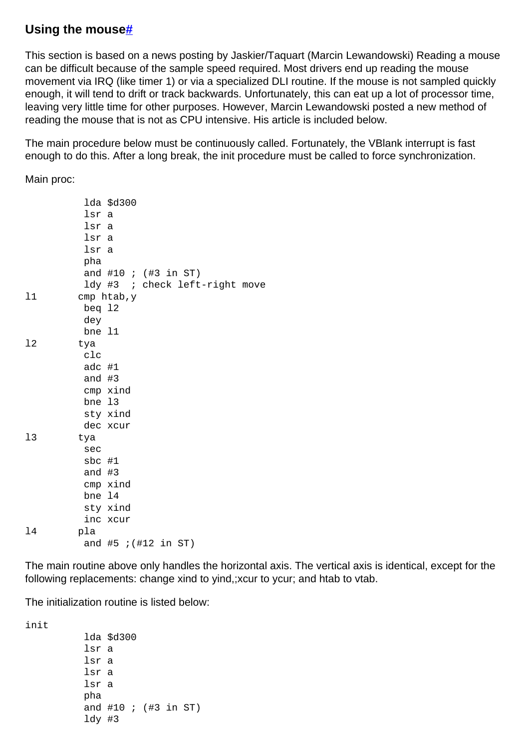# **Using the mous[e#](http://[fd00::119]:8080/wiki/#section-Ironman+Atari-UsingTheMouse)**

This section is based on a news posting by Jaskier/Taquart (Marcin Lewandowski) Reading a mouse can be difficult because of the sample speed required. Most drivers end up reading the mouse movement via IRQ (like timer 1) or via a specialized DLI routine. If the mouse is not sampled quickly enough, it will tend to drift or track backwards. Unfortunately, this can eat up a lot of processor time, leaving very little time for other purposes. However, Marcin Lewandowski posted a new method of reading the mouse that is not as CPU intensive. His article is included below.

The main procedure below must be continuously called. Fortunately, the VBlank interrupt is fast enough to do this. After a long break, the init procedure must be called to force synchronization.

Main proc:

|    | lda \$d300                       |
|----|----------------------------------|
|    | lsr a                            |
|    | lsr a                            |
|    | lsr a                            |
|    | lsr a                            |
|    | pha                              |
|    | and #10 ; $(\#3 \text{ in } ST)$ |
|    | ldy #3 ; check left-right move   |
| 11 | $cmp$ htab, $y$                  |
|    | beg 12                           |
|    | dey                              |
|    | bne 11                           |
| 12 | tya                              |
|    | c1c                              |
|    | adc #1                           |
|    | and $#3$                         |
|    | cmp xind                         |
|    | bne 13                           |
|    | sty xind                         |
|    | dec xcur                         |
| 13 | tya                              |
|    | sec                              |
|    | $sbc$ #1                         |
|    | and $#3$                         |
|    | cmp xind                         |
|    | bne 14                           |
|    | sty xind                         |
|    | inc xcur                         |
| 14 | pla                              |
|    | and #5 $i$ (#12 in ST)           |

The main routine above only handles the horizontal axis. The vertical axis is identical, except for the following replacements: change xind to yind,;xcur to ycur; and htab to vtab.

The initialization routine is listed below:

init

 lda \$d300 lsr a lsr a lsr a lsr a pha and #10 ; (#3 in ST) ldy #3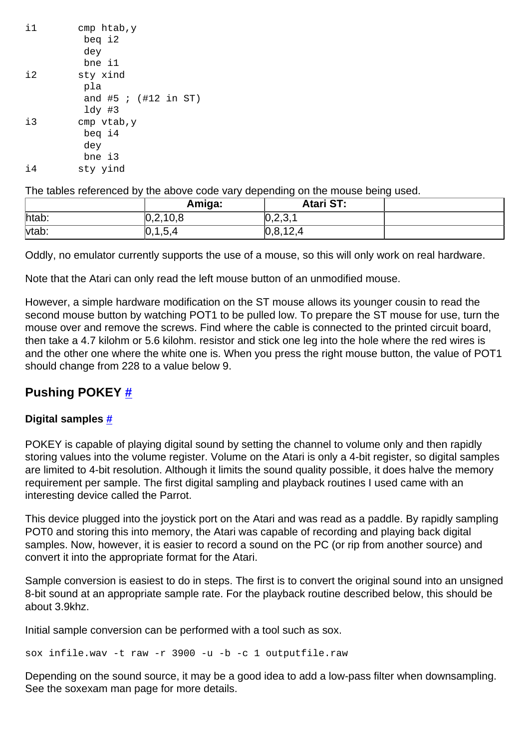| i1      | cmp htab, y            |
|---------|------------------------|
|         | beg i2                 |
|         | dey                    |
|         | bne il                 |
| $\pm 2$ | sty xind               |
|         | pla                    |
|         | and #5 $i$ (#12 in ST) |
|         | $1dy$ #3               |
| $\pm 3$ | cmp vtab, y            |
|         | beg i4                 |
|         | dey                    |
|         | bne i3                 |
| i4      | sty yind               |

The tables referenced by the above code vary depending on the mouse being used.

|       | Amiga:     | <b>Atari ST:</b>     |  |
|-------|------------|----------------------|--|
| htab: | [0,2,10,8] | ∩ ∩ ∩ ∤<br>,∪,∠,∪, I |  |
| vtab: | 0,1,5,4    | 0,8,12,4             |  |

Oddly, no emulator currently supports the use of a mouse, so this will only work on real hardware.

Note that the Atari can only read the left mouse button of an unmodified mouse.

However, a simple hardware modification on the ST mouse allows its younger cousin to read the second mouse button by watching POT1 to be pulled low. To prepare the ST mouse for use, turn the mouse over and remove the screws. Find where the cable is connected to the printed circuit board, then take a 4.7 kilohm or 5.6 kilohm. resistor and stick one leg into the hole where the red wires is and the other one where the white one is. When you press the right mouse button, the value of POT1 should change from 228 to a value below 9.

# **Pushing POKEY [#](http://[fd00::119]:8080/wiki/#section-Ironman+Atari-PushingPOKEY)**

### **Digital samples [#](http://[fd00::119]:8080/wiki/#section-Ironman+Atari-DigitalSamples)**

POKEY is capable of playing digital sound by setting the channel to volume only and then rapidly storing values into the volume register. Volume on the Atari is only a 4-bit register, so digital samples are limited to 4-bit resolution. Although it limits the sound quality possible, it does halve the memory requirement per sample. The first digital sampling and playback routines I used came with an interesting device called the Parrot.

This device plugged into the joystick port on the Atari and was read as a paddle. By rapidly sampling POT0 and storing this into memory, the Atari was capable of recording and playing back digital samples. Now, however, it is easier to record a sound on the PC (or rip from another source) and convert it into the appropriate format for the Atari.

Sample conversion is easiest to do in steps. The first is to convert the original sound into an unsigned 8-bit sound at an appropriate sample rate. For the playback routine described below, this should be about 3.9khz.

Initial sample conversion can be performed with a tool such as sox.

sox infile.wav -t raw -r 3900 -u -b -c 1 outputfile.raw

Depending on the sound source, it may be a good idea to add a low-pass filter when downsampling. See the soxexam man page for more details.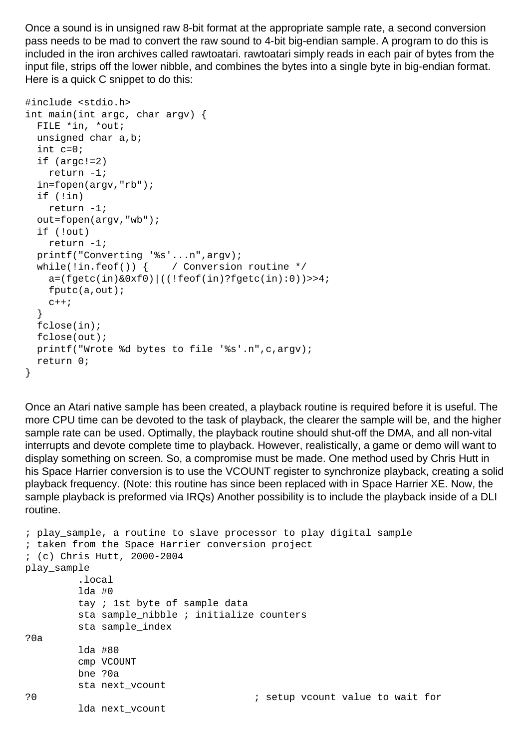Once a sound is in unsigned raw 8-bit format at the appropriate sample rate, a second conversion pass needs to be mad to convert the raw sound to 4-bit big-endian sample. A program to do this is included in the iron archives called rawtoatari. rawtoatari simply reads in each pair of bytes from the input file, strips off the lower nibble, and combines the bytes into a single byte in big-endian format. Here is a quick C snippet to do this:

```
#include <stdio.h> 
int main(int argc, char argv) { 
   FILE *in, *out; 
   unsigned char a,b; 
   int c=0; 
   if (argc!=2) 
     return -1; 
   in=fopen(argv,"rb"); 
   if (!in) 
     return -1; 
   out=fopen(argv,"wb"); 
   if (!out) 
     return -1; 
   printf("Converting '%s'...n",argv); 
  while(!in.feof()) { / Conversion routine */a=(fqetc(in)\&0xf0)\mid ((!feof(in)?fqetc(in):0))>>4; fputc(a,out); 
    C++; } 
   fclose(in); 
   fclose(out); 
   printf("Wrote %d bytes to file '%s'.n",c,argv); 
   return 0; 
}
```
Once an Atari native sample has been created, a playback routine is required before it is useful. The more CPU time can be devoted to the task of playback, the clearer the sample will be, and the higher sample rate can be used. Optimally, the playback routine should shut-off the DMA, and all non-vital interrupts and devote complete time to playback. However, realistically, a game or demo will want to display something on screen. So, a compromise must be made. One method used by Chris Hutt in his Space Harrier conversion is to use the VCOUNT register to synchronize playback, creating a solid playback frequency. (Note: this routine has since been replaced with in Space Harrier XE. Now, the sample playback is preformed via IRQs) Another possibility is to include the playback inside of a DLI routine.

```
; play_sample, a routine to slave processor to play digital sample 
; taken from the Space Harrier conversion project 
; (c) Chris Hutt, 2000-2004 
play_sample 
          .local 
          lda #0 
          tay ; 1st byte of sample data 
          sta sample_nibble ; initialize counters 
          sta sample_index 
?0a 
          lda #80 
          cmp VCOUNT 
         bne ?0a 
          sta next_vcount 
?0 ; setup vcount value to wait for 
          lda next_vcount
```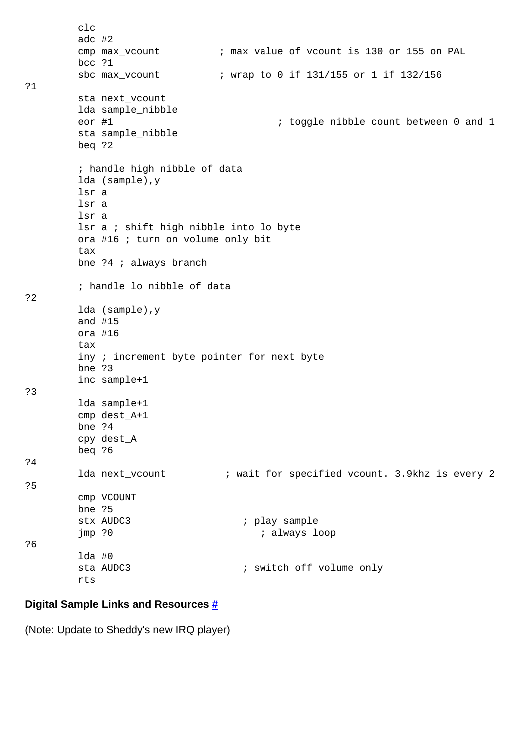```
 clc 
          adc #2 
          cmp max_vcount ; max value of vcount is 130 or 155 on PAL 
          bcc ?1 
          sbc max_vcount ; wrap to 0 if 131/155 or 1 if 132/156 
?1 
          sta next_vcount 
          lda sample_nibble 
         eor #1 \qquad \qquad ; toggle nibble count between 0 and 1
          sta sample_nibble 
          beq ?2 
          ; handle high nibble of data 
          lda (sample),y 
          lsr a 
          lsr a 
          lsr a 
          lsr a ; shift high nibble into lo byte 
          ora #16 ; turn on volume only bit 
          tax 
          bne ?4 ; always branch 
          ; handle lo nibble of data 
?2 
          lda (sample),y 
          and #15 
          ora #16 
          tax 
          iny ; increment byte pointer for next byte 
          bne ?3 
          inc sample+1 
?3
          lda sample+1 
          cmp dest_A+1 
          bne ?4 
          cpy dest_A 
          beq ?6 
?4 
         lda next_vcount \qquad i wait for specified vcount. 3.9khz is every 2
?5 
          cmp VCOUNT 
          bne ?5 
         stx AUDC3 \qquad \qquad ; play sample
          jmp ?0 ; always loop 
?6 
          lda #0 
         sta AUDC3 \qquad \qquad ; switch off volume only
          rts
```
#### **Digital Sample Links and Resources [#](http://[fd00::119]:8080/wiki/#section-Ironman+Atari-DigitalSampleLinksAndResources)**

(Note: Update to Sheddy's new IRQ player)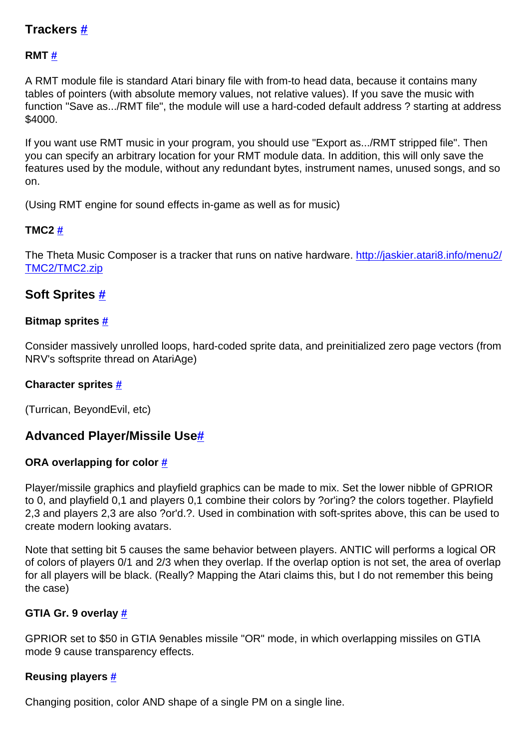# **Trackers [#](http://[fd00::119]:8080/wiki/#section-Ironman+Atari-Trackers)**

### **RMT [#](http://[fd00::119]:8080/wiki/#section-Ironman+Atari-RMT)**

A RMT module file is standard Atari binary file with from-to head data, because it contains many tables of pointers (with absolute memory values, not relative values). If you save the music with function "Save as.../RMT file", the module will use a hard-coded default address ? starting at address \$4000.

If you want use RMT music in your program, you should use "Export as.../RMT stripped file". Then you can specify an arbitrary location for your RMT module data. In addition, this will only save the features used by the module, without any redundant bytes, instrument names, unused songs, and so on.

(Using RMT engine for sound effects in-game as well as for music)

### **TMC2 [#](http://[fd00::119]:8080/wiki/#section-Ironman+Atari-TMC2)**

The Theta Music Composer is a tracker that runs on native hardware. [http://jaskier.atari8.info/menu2/](http://jaskier.atari8.info/menu2/TMC2/TMC2.zip) [TMC2/TMC2.zip](http://jaskier.atari8.info/menu2/TMC2/TMC2.zip)

### **Soft Sprites [#](http://[fd00::119]:8080/wiki/#section-Ironman+Atari-SoftSprites)**

### **Bitmap sprites [#](http://[fd00::119]:8080/wiki/#section-Ironman+Atari-BitmapSprites)**

Consider massively unrolled loops, hard-coded sprite data, and preinitialized zero page vectors (from NRV's softsprite thread on AtariAge)

### **Character sprites [#](http://[fd00::119]:8080/wiki/#section-Ironman+Atari-CharacterSprites)**

(Turrican, BeyondEvil, etc)

# **Advanced Player/Missile Use[#](http://[fd00::119]:8080/wiki/#section-Ironman+Atari-AdvancedPlayerMissileUse)**

### **ORA overlapping for color [#](http://[fd00::119]:8080/wiki/#section-Ironman+Atari-ORAOverlappingForColor)**

Player/missile graphics and playfield graphics can be made to mix. Set the lower nibble of GPRIOR to 0, and playfield 0,1 and players 0,1 combine their colors by ?or'ing? the colors together. Playfield 2,3 and players 2,3 are also ?or'd.?. Used in combination with soft-sprites above, this can be used to create modern looking avatars.

Note that setting bit 5 causes the same behavior between players. ANTIC will performs a logical OR of colors of players 0/1 and 2/3 when they overlap. If the overlap option is not set, the area of overlap for all players will be black. (Really? Mapping the Atari claims this, but I do not remember this being the case)

### **GTIA Gr. 9 overlay [#](http://[fd00::119]:8080/wiki/#section-Ironman+Atari-GTIAGr.9Overlay)**

GPRIOR set to \$50 in GTIA 9enables missile "OR" mode, in which overlapping missiles on GTIA mode 9 cause transparency effects.

### **Reusing players [#](http://[fd00::119]:8080/wiki/#section-Ironman+Atari-ReusingPlayers)**

Changing position, color AND shape of a single PM on a single line.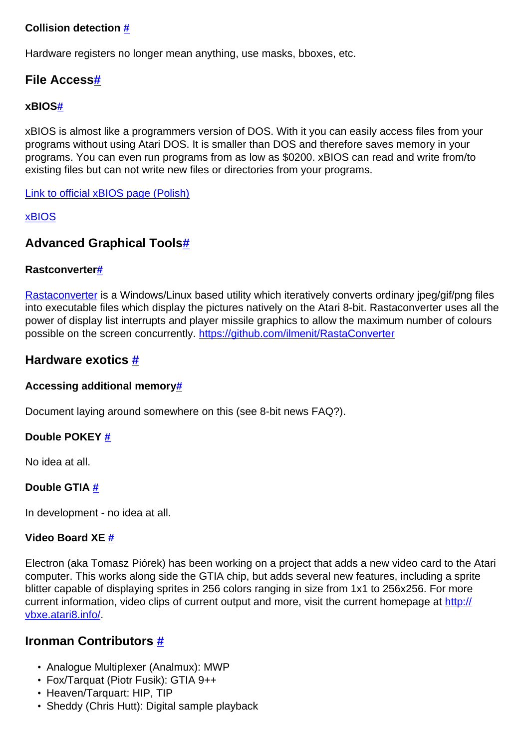### **Collision detection [#](http://[fd00::119]:8080/wiki/#section-Ironman+Atari-CollisionDetection)**

Hardware registers no longer mean anything, use masks, bboxes, etc.

## **File Access[#](http://[fd00::119]:8080/wiki/#section-Ironman+Atari-FileAccess)**

### **xBIO[S#](http://[fd00::119]:8080/wiki/#section-Ironman+Atari-XBIOS)**

xBIOS is almost like a programmers version of DOS. With it you can easily access files from your programs without using Atari DOS. It is smaller than DOS and therefore saves memory in your programs. You can even run programs from as low as \$0200. xBIOS can read and write from/to existing files but can not write new files or directories from your programs.

[Link to official xBIOS page \(Polish\)](http://xxl.atari.pl/)

### [xBIOS](http://[fd00::119]:8080/wiki//wiki/Wiki.jsp?page=XBIOS)

# **Advanced Graphical Tool[s#](http://[fd00::119]:8080/wiki/#section-Ironman+Atari-AdvancedGraphicalTools)**

### **Rastconverte[r#](http://[fd00::119]:8080/wiki/#section-Ironman+Atari-Rastconverter)**

[Rastaconverter](http://[fd00::119]:8080/wiki//wiki/Wiki.jsp?page=Rastaconverter) is a Windows/Linux based utility which iteratively converts ordinary jpeg/gif/png files into executable files which display the pictures natively on the Atari 8-bit. Rastaconverter uses all the power of display list interrupts and player missile graphics to allow the maximum number of colours possible on the screen concurrently. <https://github.com/ilmenit/RastaConverter>

# **Hardware exotics [#](http://[fd00::119]:8080/wiki/#section-Ironman+Atari-HardwareExotics)**

### **Accessing additional memor[y#](http://[fd00::119]:8080/wiki/#section-Ironman+Atari-AccessingAdditionalMemory)**

Document laying around somewhere on this (see 8-bit news FAQ?).

### **Double POKEY [#](http://[fd00::119]:8080/wiki/#section-Ironman+Atari-DoublePOKEY)**

No idea at all.

### **Double GTIA [#](http://[fd00::119]:8080/wiki/#section-Ironman+Atari-DoubleGTIA)**

In development - no idea at all.

### **Video Board XE [#](http://[fd00::119]:8080/wiki/#section-Ironman+Atari-VideoBoardXE)**

Electron (aka Tomasz Piórek) has been working on a project that adds a new video card to the Atari computer. This works along side the GTIA chip, but adds several new features, including a sprite blitter capable of displaying sprites in 256 colors ranging in size from 1x1 to 256x256. For more current information, video clips of current output and more, visit the current homepage at [http://](http://vbxe.atari8.info/) [vbxe.atari8.info/](http://vbxe.atari8.info/).

# **Ironman Contributors [#](http://[fd00::119]:8080/wiki/#section-Ironman+Atari-IronmanContributors)**

- Analogue Multiplexer (Analmux): MWP
- Fox/Tarquat (Piotr Fusik): GTIA 9++
- Heaven/Tarquart: HIP, TIP
- Sheddy (Chris Hutt): Digital sample playback